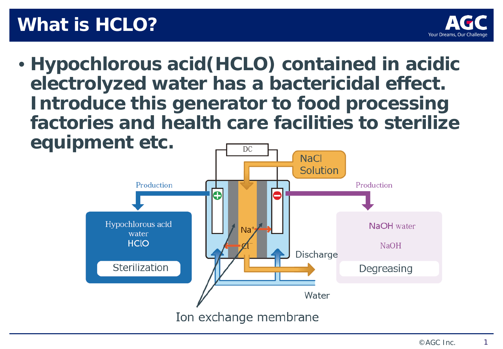## **What is HCLO?**



• **Hypochlorous acid(HCLO) contained in acidic electrolyzed water has a bactericidal effect. Introduce this generator to food processing factories and health care facilities to sterilize equipment etc.** DC

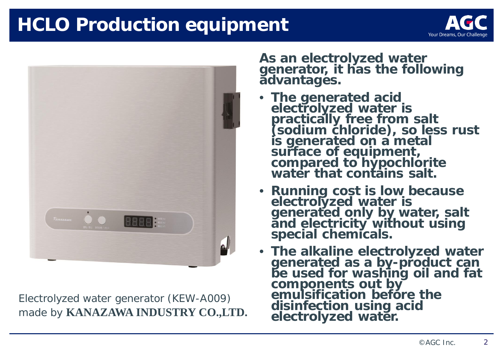## **HCLO Production equipment**





Electrolyzed water generator (KEW-A009) made by **KANAZAWA INDUSTRY CO.,LTD.** **As an electrolyzed water generator, it has the following advantages.**

- **The generated acid electrolyzed water is practically free from salt (sodium chloride), so less rust is generated on a metal surface of equipment, compared to hypochlorite water that contains salt.**
- **Running cost is low because electrolyzed water is generated only by water, salt and electricity without using special chemicals.**
- **The alkaline electrolyzed water generated as a by-product can be used for washing oil and fat components out by emulsification before the disinfection using acid electrolyzed water.**